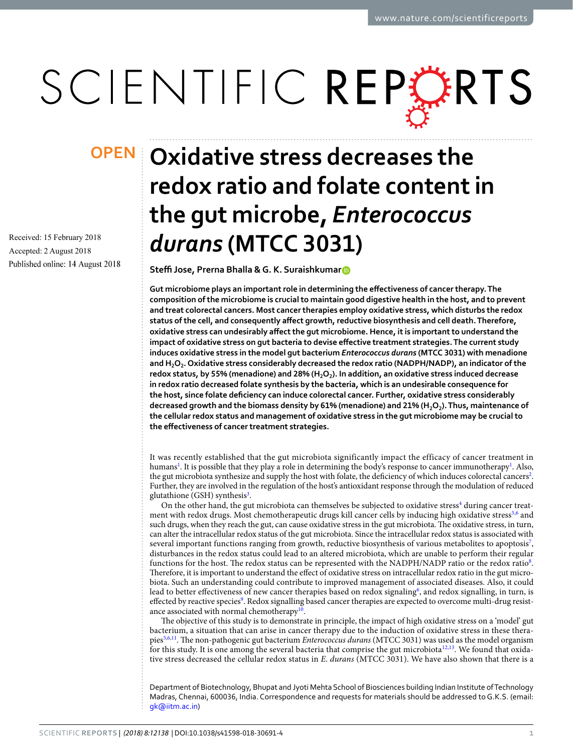# SCIENTIFIC REPERTS

Received: 15 February 2018 Accepted: 2 August 2018 Published online: 14 August 2018

## **OPEN** Oxidative stress decreases the **redox ratio and folate content in the gut microbe,** *Enterococcus durans* **(MTCC 3031)**

**Steffi Jose, P[r](http://orcid.org/0000-0002-6521-4494)erna Bhalla & G. K. Suraishkumar<sup>®</sup>** 

**Gut microbiome plays an important role in determining the efectiveness of cancer therapy. The composition of the microbiome is crucial to maintain good digestive health in the host, and to prevent and treat colorectal cancers. Most cancer therapies employ oxidative stress, which disturbs the redox status of the cell, and consequently afect growth, reductive biosynthesis and cell death. Therefore, oxidative stress can undesirably afect the gut microbiome. Hence, it is important to understand the impact of oxidative stress on gut bacteria to devise efective treatment strategies. The current study induces oxidative stress in the model gut bacterium** *Enterococcus durans* **(MTCC 3031) with menadione and H2O2. Oxidative stress considerably decreased the redox ratio (NADPH/NADP), an indicator of the**  redox status, by 55% (menadione) and 28% (H<sub>2</sub>O<sub>2</sub>). In addition, an oxidative stress induced decrease **in redox ratio decreased folate synthesis by the bacteria, which is an undesirable consequence for the host, since folate defciency can induce colorectal cancer. Further, oxidative stress considerably**  decreased growth and the biomass density by 61% (menadione) and 21% (H<sub>2</sub>O<sub>2</sub>). Thus, maintenance of **the cellular redox status and management of oxidative stress in the gut microbiome may be crucial to the efectiveness of cancer treatment strategies.**

It was recently established that the gut microbiota significantly impact the efficacy of cancer treatment in humans<sup>[1](#page-5-0)</sup>. It is possible that they play a role in determining the body's response to cancer immunotherapy<sup>1</sup>. Also, the gut microbiota synthesize and supply the host with folate, the deficiency of which induces colorectal cancers<sup>[2](#page-5-1)</sup>. Further, they are involved in the regulation of the host's antioxidant response through the modulation of reduced glutathione (GSH) synthesis<sup>[3](#page-5-2)</sup>.

On the other hand, the gut microbiota can themselves be subjected to oxidative stress<sup>4</sup> during cancer treat-ment with redox drugs. Most chemotherapeutic drugs kill cancer cells by inducing high oxidative stress<sup>[5,](#page-5-4)[6](#page-5-5)</sup> and such drugs, when they reach the gut, can cause oxidative stress in the gut microbiota. The oxidative stress, in turn, can alter the intracellular redox status of the gut microbiota. Since the intracellular redox status is associated with several important functions ranging from growth, reductive biosynthesis of various metabolites to apoptosis<sup>[7](#page-5-6)</sup>, disturbances in the redox status could lead to an altered microbiota, which are unable to perform their regular functions for the host. The redox status can be represented with the NADPH/NADP ratio or the redox ratio<sup>[8](#page-5-7)</sup>. Therefore, it is important to understand the effect of oxidative stress on intracellular redox ratio in the gut microbiota. Such an understanding could contribute to improved management of associated diseases. Also, it could lead to better effectiveness of new cancer therapies based on redox signaling<sup>[6](#page-5-5)</sup>, and redox signalling, in turn, is effected by reactive species<sup>9</sup>. Redox signalling based cancer therapies are expected to overcome multi-drug resist-ance associated with normal chemotherapy<sup>[10](#page-5-9)</sup>.

The objective of this study is to demonstrate in principle, the impact of high oxidative stress on a 'model' gut bacterium, a situation that can arise in cancer therapy due to the induction of oxidative stress in these therapies[5,](#page-5-4)[6,](#page-5-5)[11.](#page-5-10) Te non-pathogenic gut bacterium *Enterococcus durans* (MTCC 3031) was used as the model organism for this study. It is one among the several bacteria that comprise the gut microbiota<sup>[12](#page-5-11),[13](#page-5-12)</sup>. We found that oxidative stress decreased the cellular redox status in *E*. *durans* (MTCC 3031). We have also shown that there is a

Department of Biotechnology, Bhupat and Jyoti Mehta School of Biosciences building Indian Institute of Technology Madras, Chennai, 600036, India. Correspondence and requests for materials should be addressed to G.K.S. (email: [gk@iitm.ac.in](mailto:gk@iitm.ac.in))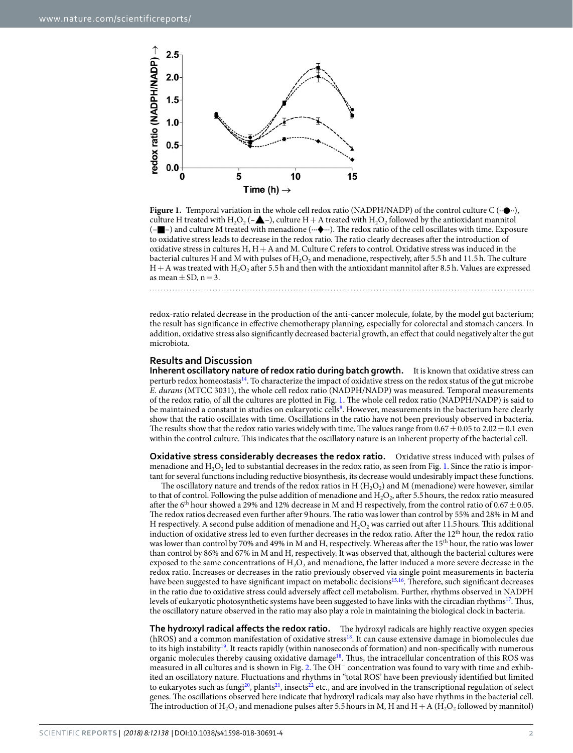

<span id="page-1-0"></span>**Figure 1.** Temporal variation in the whole cell redox ratio (NADPH/NADP) of the control culture C ( $\cdot \cdot \bullet \cdot \cdot$ ), culture H treated with H<sub>2</sub>O<sub>2</sub> ( $-\triangle$ –), culture H + A treated with H<sub>2</sub>O<sub>2</sub> followed by the antioxidant mannitol (–■–) and culture M treated with menadione (∙∙∙♦∙∙∙). Te redox ratio of the cell oscillates with time. Exposure to oxidative stress leads to decrease in the redox ratio. The ratio clearly decreases after the introduction of oxidative stress in cultures H, H+A and M. Culture C refers to control. Oxidative stress was induced in the bacterial cultures H and M with pulses of H<sub>2</sub>O<sub>2</sub> and menadione, respectively, after 5.5h and 11.5h. The culture  $H+A$  was treated with  $H_2O_2$  after 5.5 h and then with the antioxidant mannitol after 8.5 h. Values are expressed as mean  $\pm$  SD, n = 3.

redox-ratio related decrease in the production of the anti-cancer molecule, folate, by the model gut bacterium; the result has signifcance in efective chemotherapy planning, especially for colorectal and stomach cancers. In addition, oxidative stress also signifcantly decreased bacterial growth, an efect that could negatively alter the gut

#### **Results and Discussion**

microbiota.

**Inherent oscillatory nature of redox ratio during batch growth.** It is known that oxidative stress can perturb redox homeostasis[14.](#page-5-13) To characterize the impact of oxidative stress on the redox status of the gut microbe *E. durans* (MTCC 3031), the whole cell redox ratio (NADPH/NADP) was measured. Temporal measurements of the redox ratio, of all the cultures are plotted in Fig. [1.](#page-1-0) The whole cell redox ratio (NADPH/NADP) is said to be maintained a constant in studies on eukaryotic cells<sup>8</sup>. However, measurements in the bacterium here clearly show that the ratio oscillates with time. Oscillations in the ratio have not been previously observed in bacteria. The results show that the redox ratio varies widely with time. The values range from  $0.67 \pm 0.05$  to  $2.02 \pm 0.1$  even within the control culture. This indicates that the oscillatory nature is an inherent property of the bacterial cell.

**Oxidative stress considerably decreases the redox ratio.** Oxidative stress induced with pulses of menadione and  $H_2O_2$  led to substantial decreases in the redox ratio, as seen from Fig. [1.](#page-1-0) Since the ratio is important for several functions including reductive biosynthesis, its decrease would undesirably impact these functions.

The oscillatory nature and trends of the redox ratios in H  $(H<sub>2</sub>O<sub>2</sub>)$  and M (menadione) were however, similar to that of control. Following the pulse addition of menadione and  $H_2O_2$ , after 5.5 hours, the redox ratio measured after the 6<sup>th</sup> hour showed a 29% and 12% decrease in M and H respectively, from the control ratio of  $0.67 \pm 0.05$ . The redox ratios decreased even further after 9 hours. The ratio was lower than control by 55% and 28% in M and H respectively. A second pulse addition of menadione and  $H<sub>2</sub>O<sub>2</sub>$  was carried out after 11.5 hours. This additional induction of oxidative stress led to even further decreases in the redox ratio. After the 12<sup>th</sup> hour, the redox ratio was lower than control by 70% and 49% in M and H, respectively. Whereas after the 15<sup>th</sup> hour, the ratio was lower than control by 86% and 67% in M and H, respectively. It was observed that, although the bacterial cultures were exposed to the same concentrations of  $H_2O_2$  and menadione, the latter induced a more severe decrease in the redox ratio. Increases or decreases in the ratio previously observed via single point measurements in bacteria have been suggested to have significant impact on metabolic decisions<sup>15,16</sup>. Therefore, such significant decreases in the ratio due to oxidative stress could adversely afect cell metabolism. Further, rhythms observed in NADPH levels of eukaryotic photosynthetic systems have been suggested to have links with the circadian rhythms[17](#page-5-16). Tus, the oscillatory nature observed in the ratio may also play a role in maintaining the biological clock in bacteria.

**The hydroxyl radical affects the redox ratio.** The hydroxyl radicals are highly reactive oxygen species (hROS) and a common manifestation of oxidative stres[s18.](#page-5-17) It can cause extensive damage in biomolecules due to its high instability<sup>19</sup>. It reacts rapidly (within nanoseconds of formation) and non-specifically with numerous organic molecules thereby causing oxidative damage<sup>18</sup>. Thus, the intracellular concentration of this ROS was measured in all cultures and is shown in Fig. [2.](#page-2-0) The OH<sup>−</sup> concentration was found to vary with time and exhibited an oscillatory nature. Fluctuations and rhythms in "total ROS' have been previously identifed but limited to eukaryotes such as fungi<sup>20</sup>, plants<sup>[21](#page-5-20)</sup>, insects<sup>22</sup> etc., and are involved in the transcriptional regulation of select genes. The oscillations observed here indicate that hydroxyl radicals may also have rhythms in the bacterial cell. The introduction of  $H_2O_2$  and menadione pulses after 5.5 hours in M, H and H + A ( $H_2O_2$  followed by mannitol)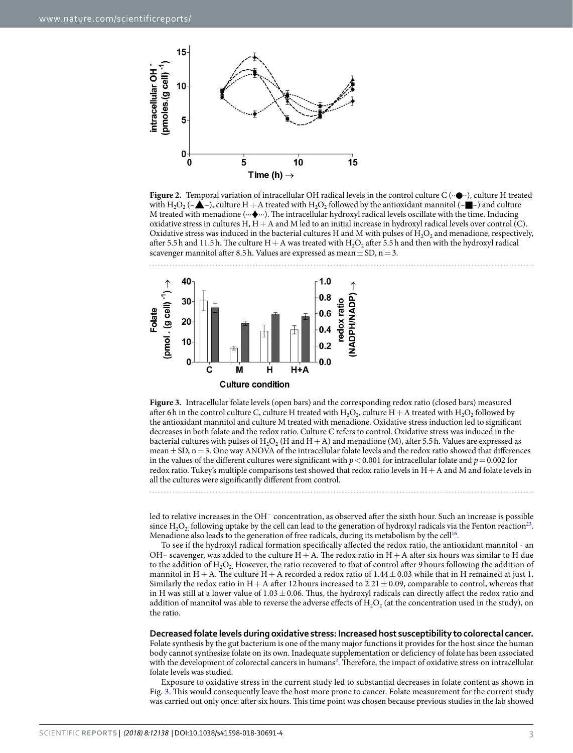

<span id="page-2-0"></span>**Figure 2.** Temporal variation of intracellular OH radical levels in the control culture C (∙∙●∙∙), culture H treated with H<sub>2</sub>O<sub>2</sub> ( $-\triangle$ –), culture H + A treated with H<sub>2</sub>O<sub>2</sub> followed by the antioxidant mannitol ( $-\square$ –) and culture M treated with menadione (⋯ $\blacklozenge$ ⋯). The intracellular hydroxyl radical levels oscillate with the time. Inducing oxidative stress in cultures H,  $H+A$  and M led to an initial increase in hydroxyl radical levels over control (C). Oxidative stress was induced in the bacterial cultures H and M with pulses of  $H<sub>2</sub>O<sub>2</sub>$  and menadione, respectively, after 5.5h and 11.5h. The culture  $H+A$  was treated with  $H_2O_2$  after 5.5h and then with the hydroxyl radical scavenger mannitol after 8.5 h. Values are expressed as mean  $\pm$  SD, n = 3.



<span id="page-2-1"></span>**Figure 3.** Intracellular folate levels (open bars) and the corresponding redox ratio (closed bars) measured after 6h in the control culture C, culture H treated with  $H_2O_2$ , culture H + A treated with  $H_2O_2$  followed by the antioxidant mannitol and culture M treated with menadione. Oxidative stress induction led to signifcant decreases in both folate and the redox ratio. Culture C refers to control. Oxidative stress was induced in the bacterial cultures with pulses of H<sub>2</sub>O<sub>2</sub> (H and H + A) and menadione (M), after 5.5h. Values are expressed as mean  $\pm$  SD, n = 3. One way ANOVA of the intracellular folate levels and the redox ratio showed that differences in the values of the different cultures were significant with  $p < 0.001$  for intracellular folate and  $p = 0.002$  for redox ratio. Tukey's multiple comparisons test showed that redox ratio levels in H+A and M and folate levels in all the cultures were signifcantly diferent from control.

led to relative increases in the OH<sup>−</sup> concentration, as observed afer the sixth hour. Such an increase is possible since  $H_2O_2$  following uptake by the cell can lead to the generation of hydroxyl radicals via the Fenton reaction<sup>23</sup>. Menadione also leads to the generation of free radicals, during its metabolism by the cell<sup>16</sup>.

To see if the hydroxyl radical formation specifcally afected the redox ratio, the antioxidant mannitol - an OH– scavenger, was added to the culture  $H+A$ . The redox ratio in  $H+A$  after six hours was similar to H due to the addition of  $H_2O_2$ . However, the ratio recovered to that of control after 9 hours following the addition of mannitol in  $H+A$ . The culture  $H+A$  recorded a redox ratio of  $1.44 \pm 0.03$  while that in H remained at just 1. Similarly the redox ratio in  $H+A$  after 12 hours increased to 2.21  $\pm$  0.09, comparable to control, whereas that in H was still at a lower value of  $1.03 \pm 0.06$ . Thus, the hydroxyl radicals can directly affect the redox ratio and addition of mannitol was able to reverse the adverse effects of  $H_2O_2$  (at the concentration used in the study), on the ratio.

**Decreased folate levels during oxidative stress: Increased host susceptibility to colorectal cancer.**

Folate synthesis by the gut bacterium is one of the many major functions it provides for the host since the human body cannot synthesize folate on its own. Inadequate supplementation or defciency of folate has been associated with the development of colorectal cancers in humans<sup>[2](#page-5-1)</sup>. Therefore, the impact of oxidative stress on intracellular folate levels was studied.

Exposure to oxidative stress in the current study led to substantial decreases in folate content as shown in Fig. [3.](#page-2-1) This would consequently leave the host more prone to cancer. Folate measurement for the current study was carried out only once: after six hours. This time point was chosen because previous studies in the lab showed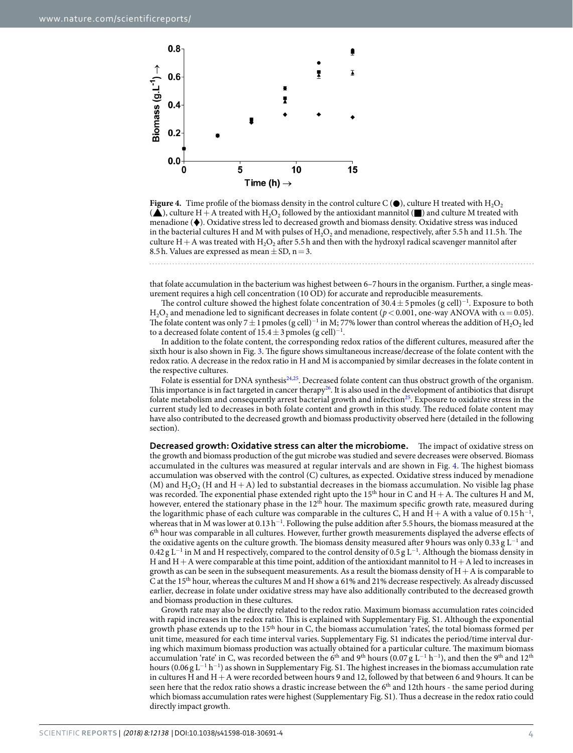

<span id="page-3-0"></span>**Figure 4.** Time profile of the biomass density in the control culture C ( $\bullet$ ), culture H treated with H<sub>2</sub>O<sub>2</sub>  $(\triangle)$ , culture H + A treated with H<sub>2</sub>O<sub>2</sub> followed by the antioxidant mannitol ( $\Box$ ) and culture M treated with menadione (♦). Oxidative stress led to decreased growth and biomass density. Oxidative stress was induced in the bacterial cultures H and M with pulses of  $H_2O_2$  and menadione, respectively, after 5.5h and 11.5h. The culture H + A was treated with H<sub>2</sub>O<sub>2</sub> after 5.5h and then with the hydroxyl radical scavenger mannitol after 8.5 h. Values are expressed as mean  $\pm$  SD, n = 3.

that folate accumulation in the bacterium was highest between 6–7hours in the organism. Further, a single measurement requires a high cell concentration (10 OD) for accurate and reproducible measurements.

The control culture showed the highest folate concentration of  $30.4 \pm 5$  pmoles (g cell)<sup>-1</sup>. Exposure to both H<sub>2</sub>O<sub>2</sub> and menadione led to significant decreases in folate content ( $p < 0.001$ , one-way ANOVA with  $\alpha = 0.05$ ). The folate content was only 7  $\pm$  1 pmoles (g cell)<sup>-1</sup> in M; 77% lower than control whereas the addition of H<sub>2</sub>O<sub>2</sub> led to a decreased folate content of  $15.4 \pm 3$  pmoles (g cell)<sup>-1</sup>.

In addition to the folate content, the corresponding redox ratios of the diferent cultures, measured afer the sixth hour is also shown in Fig. [3](#page-2-1). The figure shows simultaneous increase/decrease of the folate content with the redox ratio. A decrease in the redox ratio in H and M is accompanied by similar decreases in the folate content in the respective cultures.

Folate is essential for DNA synthesis<sup>[24](#page-5-23),[25](#page-5-24)</sup>. Decreased folate content can thus obstruct growth of the organism. This importance is in fact targeted in cancer therapy<sup>26</sup>. It is also used in the development of antibiotics that disrupt folate metabolism and consequently arrest bacterial growth and infection<sup>25</sup>. Exposure to oxidative stress in the current study led to decreases in both folate content and growth in this study. The reduced folate content may have also contributed to the decreased growth and biomass productivity observed here (detailed in the following section).

**Decreased growth: Oxidative stress can alter the microbiome.** The impact of oxidative stress on the growth and biomass production of the gut microbe was studied and severe decreases were observed. Biomass accumulated in the cultures was measured at regular intervals and are shown in Fig. [4.](#page-3-0) The highest biomass accumulation was observed with the control (C) cultures, as expected. Oxidative stress induced by menadione (M) and  $H_2O_2$  (H and  $H+A$ ) led to substantial decreases in the biomass accumulation. No visible lag phase was recorded. The exponential phase extended right upto the  $15<sup>th</sup>$  hour in C and H + A. The cultures H and M, however, entered the stationary phase in the  $12<sup>th</sup>$  hour. The maximum specific growth rate, measured during the logarithmic phase of each culture was comparable in the cultures C, H and  $H+A$  with a value of 0.15 h<sup>-1</sup>, whereas that in M was lower at  $0.13 h^{-1}$ . Following the pulse addition after 5.5 hours, the biomass measured at the 6th hour was comparable in all cultures. However, further growth measurements displayed the adverse efects of the oxidative agents on the culture growth. The biomass density measured after 9 hours was only 0.33 g L<sup>-1</sup> and 0.42 g L<sup>-1</sup> in M and H respectively, compared to the control density of 0.5 g L<sup>-1</sup>. Although the biomass density in H and H+A were comparable at this time point, addition of the antioxidant mannitol to H+A led to increases in growth as can be seen in the subsequent measurements. As a result the biomass density of  $H+A$  is comparable to C at the 15th hour, whereas the cultures M and H show a 61% and 21% decrease respectively. As already discussed earlier, decrease in folate under oxidative stress may have also additionally contributed to the decreased growth and biomass production in these cultures.

Growth rate may also be directly related to the redox ratio. Maximum biomass accumulation rates coincided with rapid increases in the redox ratio. This is explained with Supplementary Fig. S1. Although the exponential growth phase extends up to the 15th hour in C, the biomass accumulation 'rates', the total biomass formed per unit time, measured for each time interval varies. Supplementary Fig. S1 indicates the period/time interval during which maximum biomass production was actually obtained for a particular culture. The maximum biomass accumulation 'rate' in C, was recorded between the 6<sup>th</sup> and 9<sup>th</sup> hours (0.07 g L<sup>−1</sup> h<sup>−1</sup>), and then the 9<sup>th</sup> and 12<sup>th</sup> hours (0.06 g L<sup>-1</sup> h<sup>-1</sup>) as shown in Supplementary Fig. S1. The highest increases in the biomass accumulation rate in cultures H and H+A were recorded between hours 9 and 12, followed by that between 6 and 9hours. It can be seen here that the redox ratio shows a drastic increase between the 6<sup>th</sup> and 12th hours - the same period during which biomass accumulation rates were highest (Supplementary Fig. S1). Thus a decrease in the redox ratio could directly impact growth.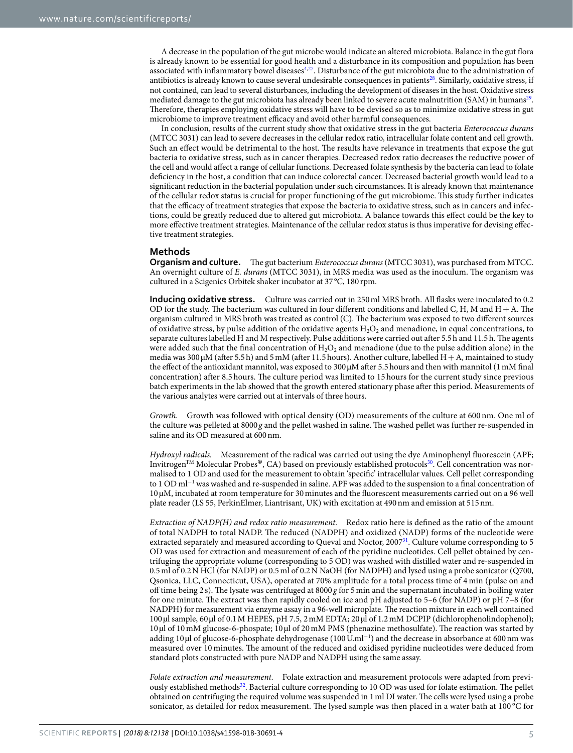A decrease in the population of the gut microbe would indicate an altered microbiota. Balance in the gut fora is already known to be essential for good health and a disturbance in its composition and population has been associated with inflammatory bowel diseases<sup>4,27</sup>. Disturbance of the gut microbiota due to the administration of antibiotics is already known to cause several undesirable consequences in patients<sup>[28](#page-5-27)</sup>. Similarly, oxidative stress, if not contained, can lead to several disturbances, including the development of diseases in the host. Oxidative stress mediated damage to the gut microbiota has already been linked to severe acute malnutrition (SAM) in humans<sup>29</sup>. Therefore, therapies employing oxidative stress will have to be devised so as to minimize oxidative stress in gut microbiome to improve treatment efficacy and avoid other harmful consequences.

In conclusion, results of the current study show that oxidative stress in the gut bacteria *Enterococcus durans* (MTCC 3031) can lead to severe decreases in the cellular redox ratio, intracellular folate content and cell growth. Such an effect would be detrimental to the host. The results have relevance in treatments that expose the gut bacteria to oxidative stress, such as in cancer therapies. Decreased redox ratio decreases the reductive power of the cell and would afect a range of cellular functions. Decreased folate synthesis by the bacteria can lead to folate defciency in the host, a condition that can induce colorectal cancer. Decreased bacterial growth would lead to a signifcant reduction in the bacterial population under such circumstances. It is already known that maintenance of the cellular redox status is crucial for proper functioning of the gut microbiome. Tis study further indicates that the efficacy of treatment strategies that expose the bacteria to oxidative stress, such as in cancers and infections, could be greatly reduced due to altered gut microbiota. A balance towards this efect could be the key to more efective treatment strategies. Maintenance of the cellular redox status is thus imperative for devising efective treatment strategies.

#### **Methods**

**Organism and culture.** The gut bacterium *Enterococcus durans* (MTCC 3031), was purchased from MTCC. An overnight culture of *E. durans* (MTCC 3031), in MRS media was used as the inoculum. The organism was cultured in a Scigenics Orbitek shaker incubator at 37 °C, 180 rpm.

**Inducing oxidative stress.** Culture was carried out in 250ml MRS broth. All fasks were inoculated to 0.2 OD for the study. The bacterium was cultured in four different conditions and labelled C, H, M and  $H+A$ . The organism cultured in MRS broth was treated as control (C). The bacterium was exposed to two different sources of oxidative stress, by pulse addition of the oxidative agents  $H_2O_2$  and menadione, in equal concentrations, to separate cultures labelled H and M respectively. Pulse additions were carried out after 5.5h and 11.5h. The agents were added such that the final concentration of  $H_2O_2$  and menadione (due to the pulse addition alone) in the media was  $300 \mu$ M (after 5.5h) and 5mM (after 11.5 hours). Another culture, labelled H + A, maintained to study the effect of the antioxidant mannitol, was exposed to 300  $\mu$ M after 5.5 hours and then with mannitol (1 mM final concentration) after 8.5 hours. The culture period was limited to 15 hours for the current study since previous batch experiments in the lab showed that the growth entered stationary phase afer this period. Measurements of the various analytes were carried out at intervals of three hours.

*Growth.* Growth was followed with optical density (OD) measurements of the culture at 600 nm. One ml of the culture was pelleted at 8000 *g* and the pellet washed in saline. The washed pellet was further re-suspended in saline and its OD measured at 600nm.

*Hydroxyl radicals.* Measurement of the radical was carried out using the dye Aminophenyl fuorescein (APF; Invitrogen<sup>TM</sup> Molecular Probes<sup>®</sup>, CA) based on previously established protocols<sup>30</sup>. Cell concentration was normalised to 1 OD and used for the measurement to obtain 'specifc' intracellular values. Cell pellet corresponding to 1 OD ml<sup>−</sup><sup>1</sup> was washed and re-suspended in saline. APF was added to the suspension to a fnal concentration of 10 µM, incubated at room temperature for 30minutes and the fuorescent measurements carried out on a 96 well plate reader (LS 55, PerkinElmer, Liantrisant, UK) with excitation at 490nm and emission at 515nm.

*Extraction of NADP(H) and redox ratio measurement.* Redox ratio here is defned as the ratio of the amount of total NADPH to total NADP. The reduced (NADPH) and oxidized (NADP) forms of the nucleotide were extracted separately and measured according to Queval and Noctor, 2007[31](#page-5-30). Culture volume corresponding to 5 OD was used for extraction and measurement of each of the pyridine nucleotides. Cell pellet obtained by centrifuging the appropriate volume (corresponding to 5 OD) was washed with distilled water and re-suspended in 0.5 ml of 0.2 N HCl (for NADP) or 0.5 ml of 0.2 N NaOH (for NADPH) and lysed using a probe sonicator (Q700, Qsonica, LLC, Connecticut, USA), operated at 70% amplitude for a total process time of 4 min (pulse on and off time being 2 s). The lysate was centrifuged at 8000 g for 5 min and the supernatant incubated in boiling water for one minute. The extract was then rapidly cooled on ice and pH adjusted to 5–6 (for NADP) or pH 7–8 (for NADPH) for measurement via enzyme assay in a 96-well microplate. The reaction mixture in each well contained 100 µl sample, 60µl of 0.1M HEPES, pH 7.5, 2mM EDTA; 20µl of 1.2mM DCPIP (dichlorophenolindophenol); 10 µl of 10 mM glucose-6-phospate; 10 µl of 20 mM PMS (phenazine methosulfate). The reaction was started by adding 10µl of glucose-6-phosphate dehydrogenase (100 U.ml<sup>-1</sup>) and the decrease in absorbance at 600 nm was measured over 10 minutes. Te amount of the reduced and oxidised pyridine nucleotides were deduced from standard plots constructed with pure NADP and NADPH using the same assay.

*Folate extraction and measurement.* Folate extraction and measurement protocols were adapted from previously established methods<sup>32</sup>. Bacterial culture corresponding to 10 OD was used for folate estimation. The pellet obtained on centrifuging the required volume was suspended in 1ml DI water. Te cells were lysed using a probe sonicator, as detailed for redox measurement. The lysed sample was then placed in a water bath at 100 °C for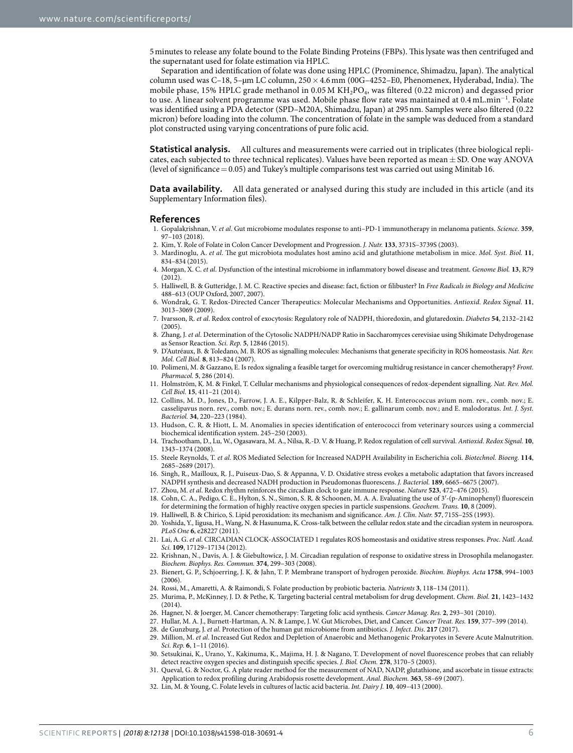5minutes to release any folate bound to the Folate Binding Proteins (FBPs). Tis lysate was then centrifuged and the supernatant used for folate estimation via HPLC.

Separation and identification of folate was done using HPLC (Prominence, Shimadzu, Japan). The analytical column used was C-18, 5-µm LC column,  $250 \times 4.6$  mm (00G-4252-E0, Phenomenex, Hyderabad, India). The mobile phase, 15% HPLC grade methanol in  $0.05 M K H<sub>2</sub>PO<sub>4</sub>$ , was filtered (0.22 micron) and degassed prior to use. A linear solvent programme was used. Mobile phase fow rate was maintained at 0.4 mL.min<sup>−</sup><sup>1</sup> . Folate was identifed using a PDA detector (SPD–M20A, Shimadzu, Japan) at 295nm. Samples were also fltered (0.22 micron) before loading into the column. The concentration of folate in the sample was deduced from a standard plot constructed using varying concentrations of pure folic acid.

**Statistical analysis.** All cultures and measurements were carried out in triplicates (three biological replicates, each subjected to three technical replicates). Values have been reported as mean  $\pm$  SD. One way ANOVA (level of signifcance=0.05) and Tukey's multiple comparisons test was carried out using Minitab 16.

**Data availability.** All data generated or analysed during this study are included in this article (and its Supplementary Information fles).

#### **References**

- <span id="page-5-0"></span>1. Gopalakrishnan, V. *et al*. Gut microbiome modulates response to anti–PD-1 immunotherapy in melanoma patients. *Science.* **359**, 97–103 (2018).
- <span id="page-5-1"></span>2. Kim, Y. Role of Folate in Colon Cancer Development and Progression. *J. Nutr.* **133**, 3731S–3739S (2003).
- <span id="page-5-2"></span>3. Mardinoglu, A. et al. The gut microbiota modulates host amino acid and glutathione metabolism in mice. Mol. Syst. Biol. 11, 834–834 (2015).
- <span id="page-5-3"></span>4. Morgan, X. C. *et al*. Dysfunction of the intestinal microbiome in infammatory bowel disease and treatment. *Genome Biol.* **13**, R79 (2012).
- <span id="page-5-4"></span>5. Halliwell, B. & Gutteridge, J. M. C. Reactive species and disease: fact, fction or flibuster? In *Free Radicals in Biology and Medicine* 488–613 (OUP Oxford, 2007, 2007).
- <span id="page-5-5"></span>6. Wondrak, G. T. Redox-Directed Cancer Terapeutics: Molecular Mechanisms and Opportunities. *Antioxid. Redox Signal.* **11**, 3013–3069 (2009).
- <span id="page-5-6"></span>7. Ivarsson, R. *et al*. Redox control of exocytosis: Regulatory role of NADPH, thioredoxin, and glutaredoxin. *Diabetes* **54**, 2132–2142 (2005).
- <span id="page-5-7"></span>8. Zhang, J. *et al*. Determination of the Cytosolic NADPH/NADP Ratio in Saccharomyces cerevisiae using Shikimate Dehydrogenase as Sensor Reaction. *Sci. Rep.* **5**, 12846 (2015).
- <span id="page-5-8"></span>9. D'Autréaux, B. & Toledano, M. B. ROS as signalling molecules: Mechanisms that generate specifcity in ROS homeostasis. *Nat. Rev. Mol. Cell Biol.* **8**, 813–824 (2007).
- <span id="page-5-9"></span>10. Polimeni, M. & Gazzano, E. Is redox signaling a feasible target for overcoming multidrug resistance in cancer chemotherapy? *Front. Pharmacol.* **5**, 286 (2014).
- <span id="page-5-10"></span>11. Holmström, K. M. & Finkel, T. Cellular mechanisms and physiological consequences of redox-dependent signalling. *Nat. Rev. Mol. Cell Biol.* **15**, 411–21 (2014).
- <span id="page-5-11"></span>12. Collins, M. D., Jones, D., Farrow, J. A. E., Kilpper-Balz, R. & Schleifer, K. H. Enterococcus avium nom. rev., comb. nov.; E. casselipavus norn. rev., comb. nov.; E. durans norn. rev., comb. nov.; E. gallinarum comb. nov.; and E. malodoratus. *Int. J. Syst. Bacteriol.* **34**, 220–223 (1984).
- <span id="page-5-12"></span>13. Hudson, C. R. & Hiott, L. M. Anomalies in species identifcation of enterococci from veterinary sources using a commercial biochemical identifcation system. 245–250 (2003).
- <span id="page-5-13"></span>14. Trachootham, D., Lu, W., Ogasawara, M. A., Nilsa, R.-D. V. & Huang, P. Redox regulation of cell survival. *Antioxid. Redox Signal.* **10**, 1343–1374 (2008).
- <span id="page-5-14"></span>15. Steele Reynolds, T. *et al*. ROS Mediated Selection for Increased NADPH Availability in Escherichia coli. *Biotechnol. Bioeng.* **114**, 2685–2689 (2017).
- <span id="page-5-15"></span>16. Singh, R., Mailloux, R. J., Puiseux-Dao, S. & Appanna, V. D. Oxidative stress evokes a metabolic adaptation that favors increased NADPH synthesis and decreased NADH production in Pseudomonas fuorescens. *J. Bacteriol.* **189**, 6665–6675 (2007).
- <span id="page-5-16"></span>17. Zhou, M. *et al*. Redox rhythm reinforces the circadian clock to gate immune response. *Nature* **523**, 472–476 (2015).
- <span id="page-5-17"></span>18. Cohn, C. A., Pedigo, C. E., Hylton, S. N., Simon, S. R. & Schoonen, M. A. A. Evaluating the use of 3′-(p-Aminophenyl) fuorescein for determining the formation of highly reactive oxygen species in particle suspensions. *Geochem. Trans.* **10**, 8 (2009).
- <span id="page-5-18"></span>19. Halliwell, B. & Chirico, S. Lipid peroxidation: its mechanism and signifcance. *Am. J. Clin. Nutr.* **57**, 715S–25S (1993).
- <span id="page-5-19"></span>20. Yoshida, Y., Iigusa, H., Wang, N. & Hasunuma, K. Cross-talk between the cellular redox state and the circadian system in neurospora. *PLoS One* **6**, e28227 (2011).
- <span id="page-5-20"></span>21. Lai, A. G. *et al*. CIRCADIAN CLOCK-ASSOCIATED 1 regulates ROS homeostasis and oxidative stress responses. *Proc. Natl. Acad. Sci.* **109**, 17129–17134 (2012).
- <span id="page-5-21"></span>22. Krishnan, N., Davis, A. J. & Giebultowicz, J. M. Circadian regulation of response to oxidative stress in Drosophila melanogaster. *Biochem. Biophys. Res. Commun.* **374**, 299–303 (2008).
- <span id="page-5-22"></span>23. Bienert, G. P., Schjoerring, J. K. & Jahn, T. P. Membrane transport of hydrogen peroxide. *Biochim. Biophys. Acta* **1758**, 994–1003  $(2006)$
- <span id="page-5-23"></span>24. Rossi, M., Amaretti, A. & Raimondi, S. Folate production by probiotic bacteria. *Nutrients* **3**, 118–134 (2011).
- <span id="page-5-24"></span>25. Murima, P., McKinney, J. D. & Pethe, K. Targeting bacterial central metabolism for drug development. *Chem. Biol.* **21**, 1423–1432 (2014).
- <span id="page-5-25"></span>26. Hagner, N. & Joerger, M. Cancer chemotherapy: Targeting folic acid synthesis. *Cancer Manag. Res.* **2**, 293–301 (2010).
- <span id="page-5-27"></span><span id="page-5-26"></span>27. Hullar, M. A. J., Burnett-Hartman, A. N. & Lampe, J. W. Gut Microbes, Diet, and Cancer. *Cancer Treat. Res.* **159**, 377–399 (2014). 28. de Gunzburg, J. *et al*. Protection of the human gut microbiome from antibiotics. *J. Infect. Dis*. **217** (2017).
- <span id="page-5-28"></span>29. Million, M. *et al*. Increased Gut Redox and Depletion of Anaerobic and Methanogenic Prokaryotes in Severe Acute Malnutrition. *Sci. Rep.* **6**, 1–11 (2016).
- <span id="page-5-29"></span>30. Setsukinai, K., Urano, Y., Kakinuma, K., Majima, H. J. & Nagano, T. Development of novel fuorescence probes that can reliably detect reactive oxygen species and distinguish specifc species. *J. Biol. Chem.* **278**, 3170–5 (2003).
- <span id="page-5-30"></span>31. Queval, G. & Noctor, G. A plate reader method for the measurement of NAD, NADP, glutathione, and ascorbate in tissue extracts: Application to redox profling during Arabidopsis rosette development. *Anal. Biochem.* **363**, 58–69 (2007).
- <span id="page-5-31"></span>32. Lin, M. & Young, C. Folate levels in cultures of lactic acid bacteria. *Int. Dairy J.* **10**, 409–413 (2000).